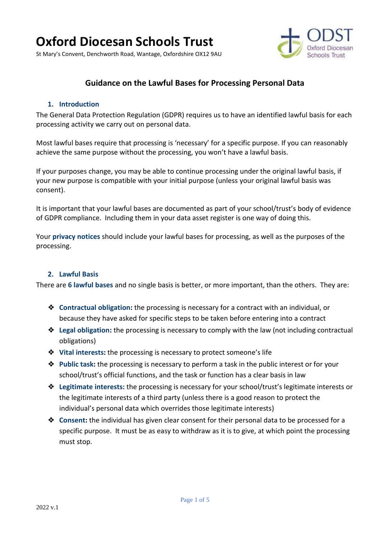St Mary's Convent, Denchworth Road, Wantage, Oxfordshire OX12 9AU



# **Guidance on the Lawful Bases for Processing Personal Data**

#### **1. Introduction**

The General Data Protection Regulation (GDPR) requires us to have an identified lawful basis for each processing activity we carry out on personal data.

Most lawful bases require that processing is 'necessary' for a specific purpose. If you can reasonably achieve the same purpose without the processing, you won't have a lawful basis.

If your purposes change, you may be able to continue processing under the original lawful basis, if your new purpose is compatible with your initial purpose (unless your original lawful basis was consent).

It is important that your lawful bases are documented as part of your school/trust's body of evidence of GDPR compliance. Including them in your data asset register is one way of doing this.

Your **privacy notices** should include your lawful bases for processing, as well as the purposes of the processing.

#### **2. Lawful Basis**

There are **6 lawful bases** and no single basis is better, or more important, than the others. They are:

- ❖ **Contractual obligation:** the processing is necessary for a contract with an individual, or because they have asked for specific steps to be taken before entering into a contract
- ❖ **Legal obligation:** the processing is necessary to comply with the law (not including contractual obligations)
- ❖ **Vital interests:** the processing is necessary to protect someone's life
- ❖ **Public task:** the processing is necessary to perform a task in the public interest or for your school/trust's official functions, and the task or function has a clear basis in law
- ❖ **Legitimate interests:** the processing is necessary for your school/trust's legitimate interests or the legitimate interests of a third party (unless there is a good reason to protect the individual's personal data which overrides those legitimate interests)
- ❖ **Consent:** the individual has given clear consent for their personal data to be processed for a specific purpose. It must be as easy to withdraw as it is to give, at which point the processing must stop.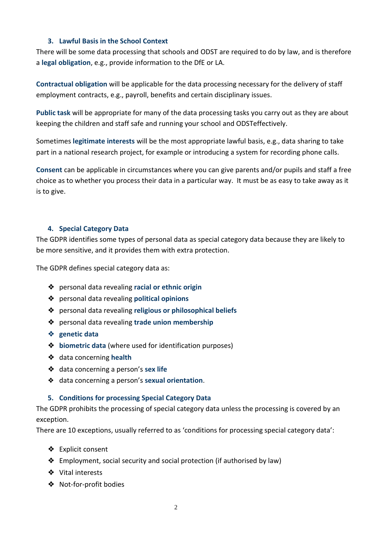### **3. Lawful Basis in the School Context**

There will be some data processing that schools and ODST are required to do by law, and is therefore a **legal obligation**, e.g., provide information to the DfE or LA.

**Contractual obligation** will be applicable for the data processing necessary for the delivery of staff employment contracts, e.g., payroll, benefits and certain disciplinary issues.

**Public task** will be appropriate for many of the data processing tasks you carry out as they are about keeping the children and staff safe and running your school and ODSTeffectively.

Sometimes **legitimate interests** will be the most appropriate lawful basis, e.g., data sharing to take part in a national research project, for example or introducing a system for recording phone calls.

**Consent** can be applicable in circumstances where you can give parents and/or pupils and staff a free choice as to whether you process their data in a particular way. It must be as easy to take away as it is to give.

### **4. Special Category Data**

The GDPR identifies some types of personal data as special category data because they are likely to be more sensitive, and it provides them with extra protection.

The GDPR defines special category data as:

- ❖ personal data revealing **racial or ethnic origin**
- ❖ personal data revealing **political opinions**
- ❖ personal data revealing **religious or philosophical beliefs**
- ❖ personal data revealing **trade union membership**
- ❖ **genetic data**
- ❖ **biometric data** (where used for identification purposes)
- ❖ data concerning **health**
- ❖ data concerning a person's **sex life**
- ❖ data concerning a person's **sexual orientation**.

### **5. Conditions for processing Special Category Data**

The GDPR prohibits the processing of special category data unless the processing is covered by an exception.

There are 10 exceptions, usually referred to as 'conditions for processing special category data':

- ❖ Explicit consent
- ❖ Employment, social security and social protection (if authorised by law)
- ❖ Vital interests
- ❖ Not-for-profit bodies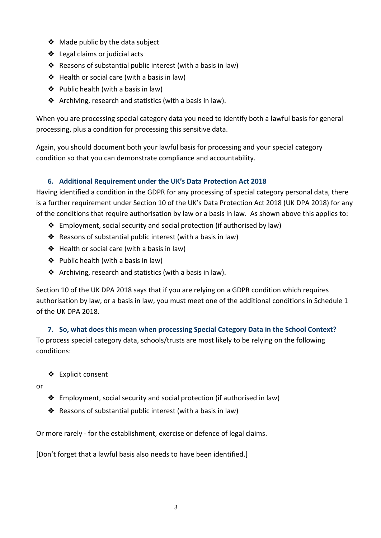- ❖ Made public by the data subject
- ❖ Legal claims or judicial acts
- ❖ Reasons of substantial public interest (with a basis in law)
- ❖ Health or social care (with a basis in law)
- ❖ Public health (with a basis in law)
- ❖ Archiving, research and statistics (with a basis in law).

When you are processing special category data you need to identify both a lawful basis for general processing, plus a condition for processing this sensitive data.

Again, you should document both your lawful basis for processing and your special category condition so that you can demonstrate compliance and accountability.

# **6. Additional Requirement under the UK's Data Protection Act 2018**

Having identified a condition in the GDPR for any processing of special category personal data, there is a further requirement under Section 10 of the UK's Data Protection Act 2018 (UK DPA 2018) for any of the conditions that require authorisation by law or a basis in law. As shown above this applies to:

- ❖ Employment, social security and social protection (if authorised by law)
- ❖ Reasons of substantial public interest (with a basis in law)
- ❖ Health or social care (with a basis in law)
- ❖ Public health (with a basis in law)
- ❖ Archiving, research and statistics (with a basis in law).

Section 10 of the UK DPA 2018 says that if you are relying on a GDPR condition which requires authorisation by law, or a basis in law, you must meet one of the additional conditions in Schedule 1 of the UK DPA 2018.

**7. So, what does this mean when processing Special Category Data in the School Context?** To process special category data, schools/trusts are most likely to be relying on the following conditions:

❖ Explicit consent

or

- ❖ Employment, social security and social protection (if authorised in law)
- ❖ Reasons of substantial public interest (with a basis in law)

Or more rarely - for the establishment, exercise or defence of legal claims.

[Don't forget that a lawful basis also needs to have been identified.]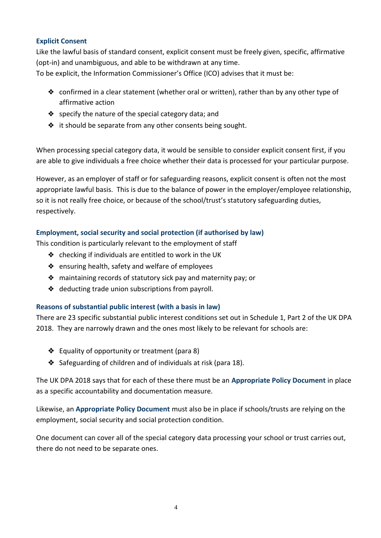### **Explicit Consent**

Like the lawful basis of standard consent, explicit consent must be freely given, specific, affirmative (opt-in) and unambiguous, and able to be withdrawn at any time.

To be explicit, the Information Commissioner's Office (ICO) advises that it must be:

- $\triangleq$  confirmed in a clear statement (whether oral or written), rather than by any other type of affirmative action
- ❖ specify the nature of the special category data; and
- ❖ it should be separate from any other consents being sought.

When processing special category data, it would be sensible to consider explicit consent first, if you are able to give individuals a free choice whether their data is processed for your particular purpose.

However, as an employer of staff or for safeguarding reasons, explicit consent is often not the most appropriate lawful basis. This is due to the balance of power in the employer/employee relationship, so it is not really free choice, or because of the school/trust's statutory safeguarding duties, respectively.

## **Employment, social security and social protection (if authorised by law)**

This condition is particularly relevant to the employment of staff

- ❖ checking if individuals are entitled to work in the UK
- ❖ ensuring health, safety and welfare of employees
- ❖ maintaining records of statutory sick pay and maternity pay; or
- ❖ deducting trade union subscriptions from payroll.

### **Reasons of substantial public interest (with a basis in law)**

There are 23 specific substantial public interest conditions set out in Schedule 1, Part 2 of the UK DPA 2018. They are narrowly drawn and the ones most likely to be relevant for schools are:

- ❖ Equality of opportunity or treatment (para 8)
- ❖ Safeguarding of children and of individuals at risk (para 18).

The UK DPA 2018 says that for each of these there must be an **Appropriate Policy Document** in place as a specific accountability and documentation measure.

Likewise, an **Appropriate Policy Document** must also be in place if schools/trusts are relying on the employment, social security and social protection condition.

One document can cover all of the special category data processing your school or trust carries out, there do not need to be separate ones.